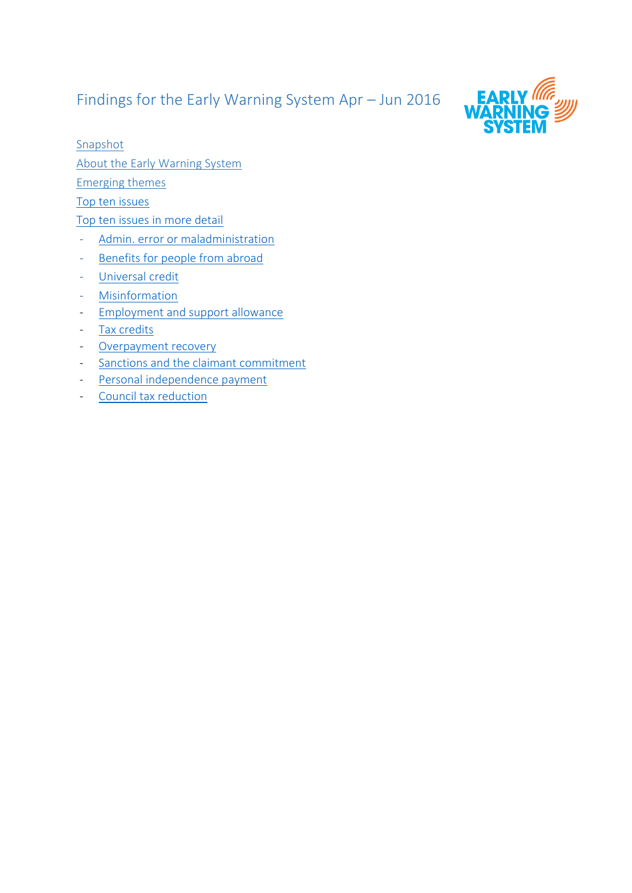# Findings for the Early Warning System Apr – Jun 2016



Snapshot

About the Early Warning System

Emerging themes

[Top ten issues](#page-3-0)

[Top ten issues in more detail](#page-6-0)

- [Admin. error or maladministration](#page-6-1)
- [Benefits for people from abroad](#page-7-0)
- [Universal credit](#page-8-0)
- [Misinformation](#page-9-0)
- [Employment and support allowance](#page-10-0)
- [Tax credits](#page-11-0)
- [Overpayment recovery](#page-11-1)
- [Sanctions and the claimant commitment](#page-11-2)
- [Personal independence payment](#page-12-0)
- [Council tax reduction](#page-13-0)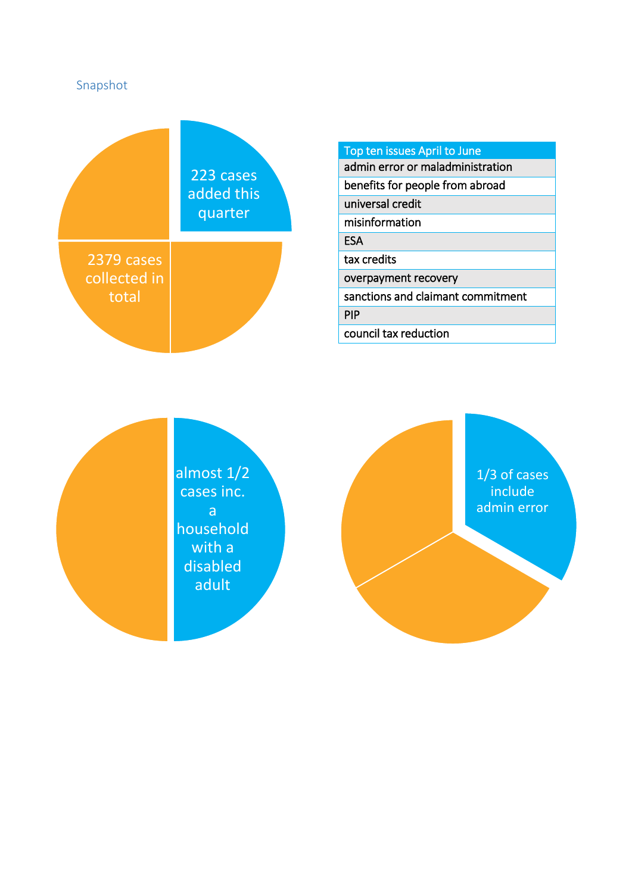

# Top ten issues April to June

admin error or maladministration

benefits for people from abroad

universal credit

misinformation

**ESA** 

tax credits

overpayment recovery

sanctions and claimant commitment

PIP

council tax reduction

almost 1/2 cases inc. a household with a disabled adult

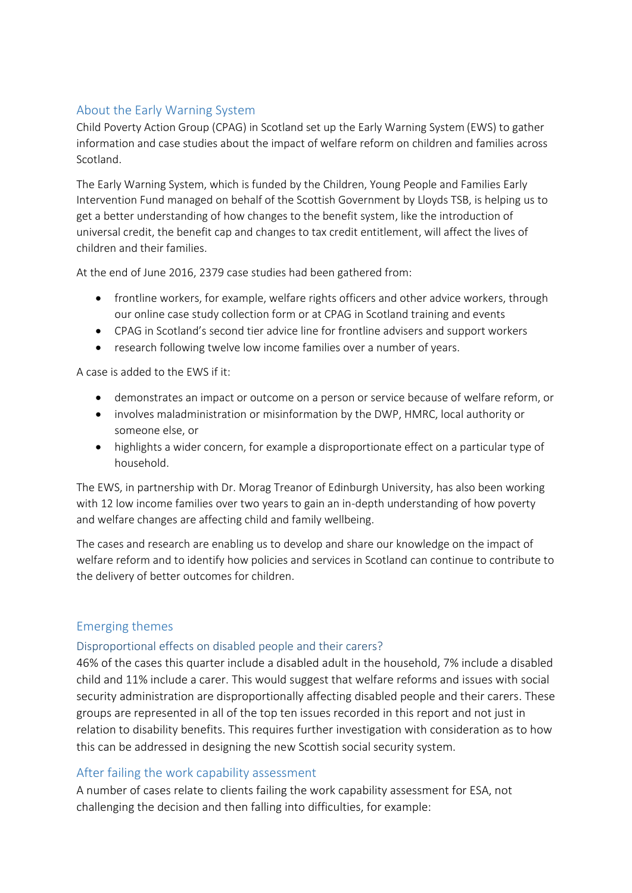# About the Early Warning System

Child Poverty Action Group (CPAG) in Scotland set up the Early Warning System (EWS) to gather information and case studies about the impact of welfare reform on children and families across Scotland.

The Early Warning System, which is funded by the Children, Young People and Families Early Intervention Fund managed on behalf of the Scottish Government by Lloyds TSB, is helping us to get a better understanding of how changes to the benefit system, like the introduction of universal credit, the benefit cap and changes to tax credit entitlement, will affect the lives of children and their families.

At the end of June 2016, 2379 case studies had been gathered from:

- frontline workers, for example, welfare rights officers and other advice workers, through our online case study collection form or at CPAG in Scotland training and events
- CPAG in Scotland's second tier advice line for frontline advisers and support workers
- research following twelve low income families over a number of years.

A case is added to the EWS if it:

- demonstrates an impact or outcome on a person or service because of welfare reform, or
- involves maladministration or misinformation by the DWP, HMRC, local authority or someone else, or
- highlights a wider concern, for example a disproportionate effect on a particular type of household.

The EWS, in partnership with Dr. Morag Treanor of Edinburgh University, has also been working with 12 low income families over two years to gain an in-depth understanding of how poverty and welfare changes are affecting child and family wellbeing.

The cases and research are enabling us to develop and share our knowledge on the impact of welfare reform and to identify how policies and services in Scotland can continue to contribute to the delivery of better outcomes for children.

# Emerging themes

# Disproportional effects on disabled people and their carers?

46% of the cases this quarter include a disabled adult in the household, 7% include a disabled child and 11% include a carer. This would suggest that welfare reforms and issues with social security administration are disproportionally affecting disabled people and their carers. These groups are represented in all of the top ten issues recorded in this report and not just in relation to disability benefits. This requires further investigation with consideration as to how this can be addressed in designing the new Scottish social security system.

# After failing the work capability assessment

A number of cases relate to clients failing the work capability assessment for ESA, not challenging the decision and then falling into difficulties, for example: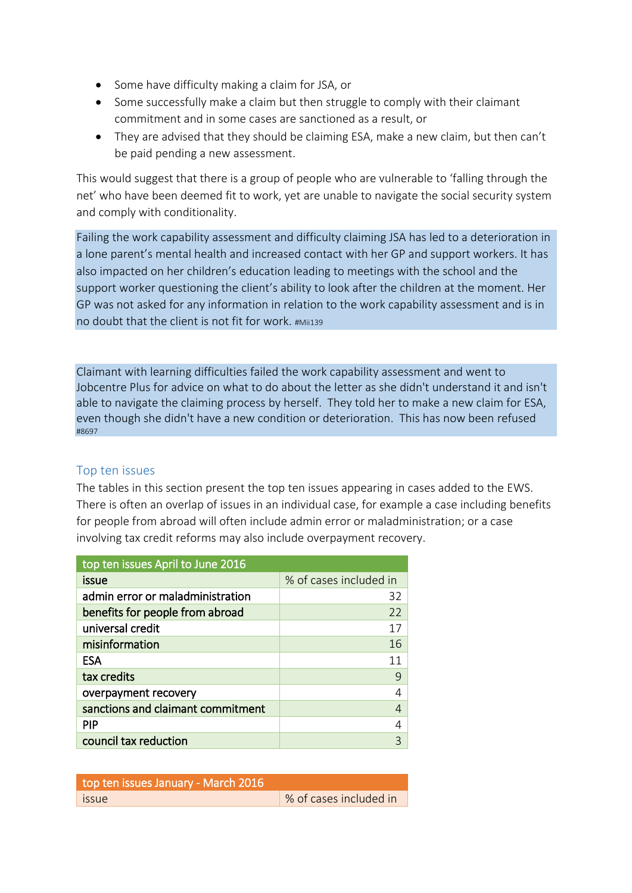- Some have difficulty making a claim for JSA, or
- Some successfully make a claim but then struggle to comply with their claimant commitment and in some cases are sanctioned as a result, or
- They are advised that they should be claiming ESA, make a new claim, but then can't be paid pending a new assessment.

This would suggest that there is a group of people who are vulnerable to 'falling through the net' who have been deemed fit to work, yet are unable to navigate the social security system and comply with conditionality.

Failing the work capability assessment and difficulty claiming JSA has led to a deterioration in a lone parent's mental health and increased contact with her GP and support workers. It has also impacted on her children's education leading to meetings with the school and the support worker questioning the client's ability to look after the children at the moment. Her GP was not asked for any information in relation to the work capability assessment and is in no doubt that the client is not fit for work. #Mii139

Claimant with learning difficulties failed the work capability assessment and went to Jobcentre Plus for advice on what to do about the letter as she didn't understand it and isn't able to navigate the claiming process by herself. They told her to make a new claim for ESA, even though she didn't have a new condition or deterioration. This has now been refused #8697

# <span id="page-3-0"></span>Top ten issues

The tables in this section present the top ten issues appearing in cases added to the EWS. There is often an overlap of issues in an individual case, for example a case including benefits for people from abroad will often include admin error or maladministration; or a case involving tax credit reforms may also include overpayment recovery.

| top ten issues April to June 2016 |                        |
|-----------------------------------|------------------------|
| issue                             | % of cases included in |
| admin error or maladministration  | 32                     |
| benefits for people from abroad   | 22                     |
| universal credit                  | 17                     |
| misinformation                    | 16                     |
| <b>ESA</b>                        |                        |
| tax credits                       | 9                      |
| overpayment recovery              |                        |
| sanctions and claimant commitment |                        |
| <b>PIP</b>                        |                        |
| council tax reduction             | ੨                      |

| top ten issues January - March 2016 |                         |
|-------------------------------------|-------------------------|
| issue                               | ↓% of cases included in |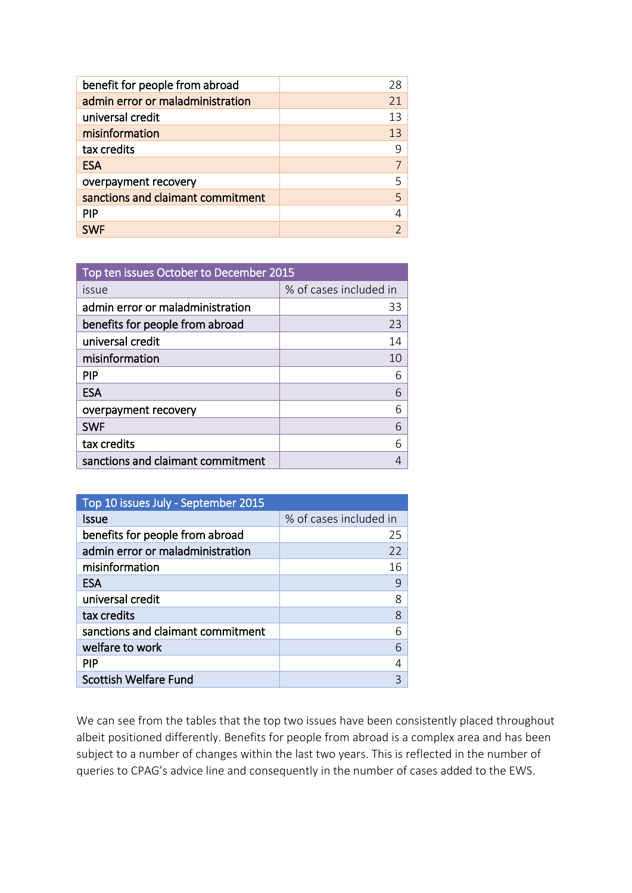| benefit for people from abroad    | 28 |
|-----------------------------------|----|
| admin error or maladministration  | 21 |
| universal credit                  | 13 |
| misinformation                    | 13 |
| tax credits                       | 9  |
| <b>ESA</b>                        |    |
| overpayment recovery              | 5  |
| sanctions and claimant commitment | 5  |
| <b>PIP</b>                        |    |
| <b>SWF</b>                        |    |

| Top ten issues October to December 2015 |                        |  |
|-----------------------------------------|------------------------|--|
| issue                                   | % of cases included in |  |
| admin error or maladministration        | 33                     |  |
| benefits for people from abroad         | 23                     |  |
| universal credit                        | 14                     |  |
| misinformation                          | 10                     |  |
| <b>PIP</b>                              | 6                      |  |
| <b>ESA</b>                              | 6                      |  |
| overpayment recovery                    | 6                      |  |
| <b>SWF</b>                              | 6                      |  |
| tax credits                             | 6                      |  |
| sanctions and claimant commitment       |                        |  |

| Top 10 issues July - September 2015 |                        |
|-------------------------------------|------------------------|
| Issue                               | % of cases included in |
| benefits for people from abroad     | 25                     |
| admin error or maladministration    | 22                     |
| misinformation                      | 16                     |
| <b>ESA</b>                          | 9                      |
| universal credit                    | 8                      |
| tax credits                         | 8                      |
| sanctions and claimant commitment   | 6                      |
| welfare to work                     | 6                      |
| <b>PIP</b>                          |                        |
| <b>Scottish Welfare Fund</b>        |                        |

We can see from the tables that the top two issues have been consistently placed throughout albeit positioned differently. Benefits for people from abroad is a complex area and has been subject to a number of changes within the last two years. This is reflected in the number of queries to CPAG's advice line and consequently in the number of cases added to the EWS.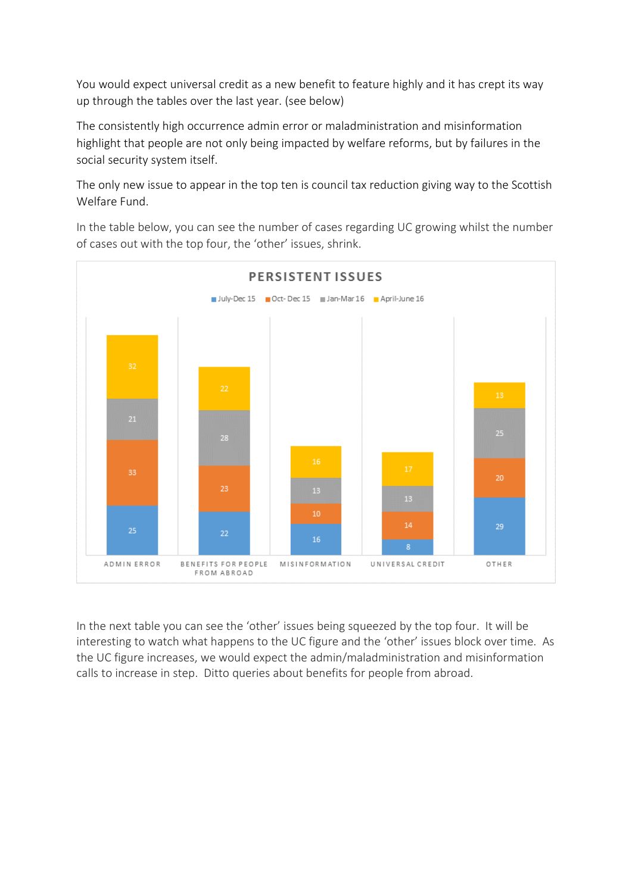You would expect universal credit as a new benefit to feature highly and it has crept its way up through the tables over the last year. (see below)

The consistently high occurrence admin error or maladministration and misinformation highlight that people are not only being impacted by welfare reforms, but by failures in the social security system itself.

The only new issue to appear in the top ten is council tax reduction giving way to the Scottish Welfare Fund.

In the table below, you can see the number of cases regarding UC growing whilst the number of cases out with the top four, the 'other' issues, shrink.



In the next table you can see the 'other' issues being squeezed by the top four. It will be interesting to watch what happens to the UC figure and the 'other' issues block over time. As the UC figure increases, we would expect the admin/maladministration and misinformation calls to increase in step. Ditto queries about benefits for people from abroad.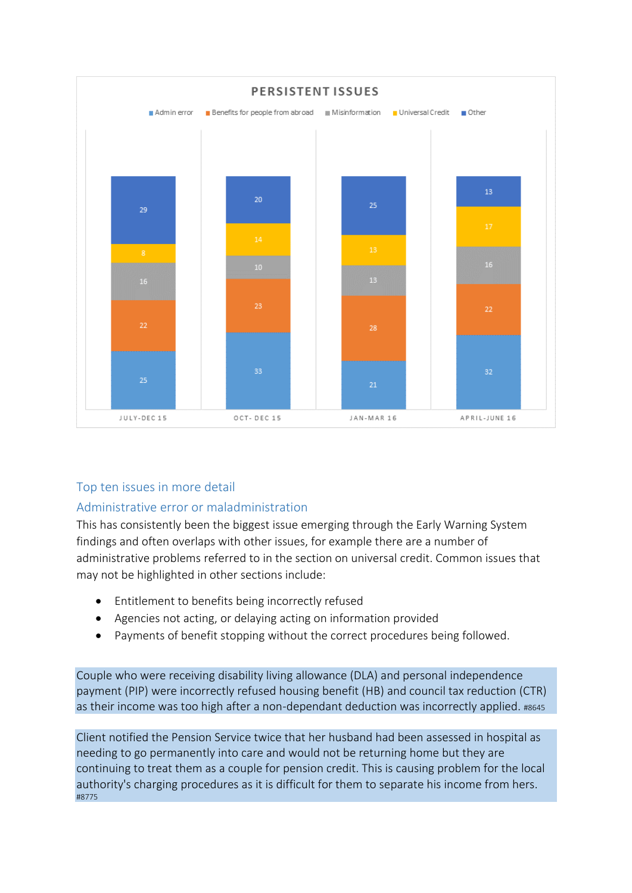

# <span id="page-6-0"></span>Top ten issues in more detail

# <span id="page-6-1"></span>Administrative error or maladministration

This has consistently been the biggest issue emerging through the Early Warning System findings and often overlaps with other issues, for example there are a number of administrative problems referred to in the section on universal credit. Common issues that may not be highlighted in other sections include:

- Entitlement to benefits being incorrectly refused
- Agencies not acting, or delaying acting on information provided
- Payments of benefit stopping without the correct procedures being followed.

Couple who were receiving disability living allowance (DLA) and personal independence payment (PIP) were incorrectly refused housing benefit (HB) and council tax reduction (CTR) as their income was too high after a non-dependant deduction was incorrectly applied. #8645

Client notified the Pension Service twice that her husband had been assessed in hospital as needing to go permanently into care and would not be returning home but they are continuing to treat them as a couple for pension credit. This is causing problem for the local authority's charging procedures as it is difficult for them to separate his income from hers. #8775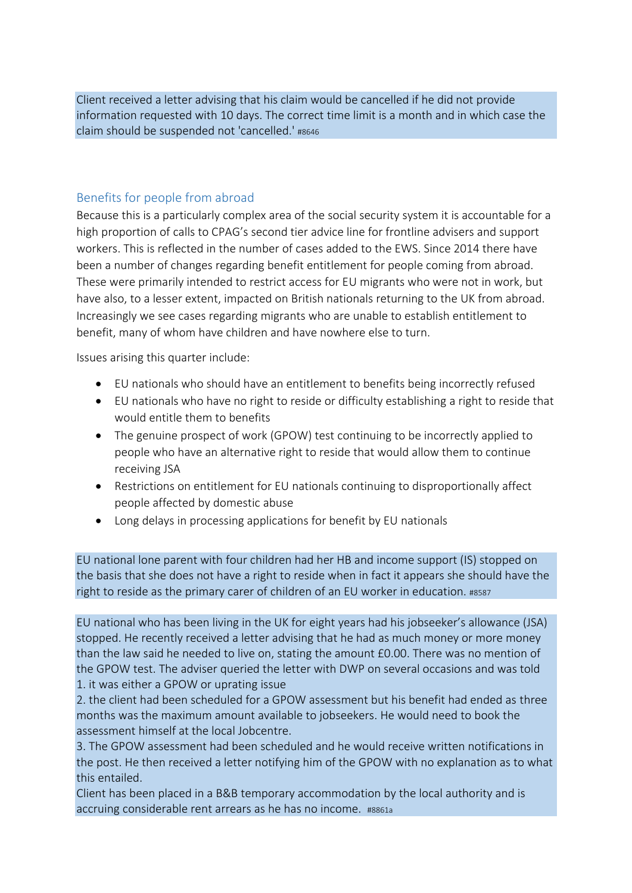Client received a letter advising that his claim would be cancelled if he did not provide information requested with 10 days. The correct time limit is a month and in which case the claim should be suspended not 'cancelled.' #8646

# <span id="page-7-0"></span>Benefits for people from abroad

Because this is a particularly complex area of the social security system it is accountable for a high proportion of calls to CPAG's second tier advice line for frontline advisers and support workers. This is reflected in the number of cases added to the EWS. Since 2014 there have been a number of changes regarding benefit entitlement for people coming from abroad. These were primarily intended to restrict access for EU migrants who were not in work, but have also, to a lesser extent, impacted on British nationals returning to the UK from abroad. Increasingly we see cases regarding migrants who are unable to establish entitlement to benefit, many of whom have children and have nowhere else to turn.

Issues arising this quarter include:

- EU nationals who should have an entitlement to benefits being incorrectly refused
- EU nationals who have no right to reside or difficulty establishing a right to reside that would entitle them to benefits
- The genuine prospect of work (GPOW) test continuing to be incorrectly applied to people who have an alternative right to reside that would allow them to continue receiving JSA
- Restrictions on entitlement for EU nationals continuing to disproportionally affect people affected by domestic abuse
- Long delays in processing applications for benefit by EU nationals

EU national lone parent with four children had her HB and income support (IS) stopped on the basis that she does not have a right to reside when in fact it appears she should have the right to reside as the primary carer of children of an EU worker in education. #8587

EU national who has been living in the UK for eight years had his jobseeker's allowance (JSA) stopped. He recently received a letter advising that he had as much money or more money than the law said he needed to live on, stating the amount £0.00. There was no mention of the GPOW test. The adviser queried the letter with DWP on several occasions and was told 1. it was either a GPOW or uprating issue

2. the client had been scheduled for a GPOW assessment but his benefit had ended as three months was the maximum amount available to jobseekers. He would need to book the assessment himself at the local Jobcentre.

3. The GPOW assessment had been scheduled and he would receive written notifications in the post. He then received a letter notifying him of the GPOW with no explanation as to what this entailed.

Client has been placed in a B&B temporary accommodation by the local authority and is accruing considerable rent arrears as he has no income. #8861a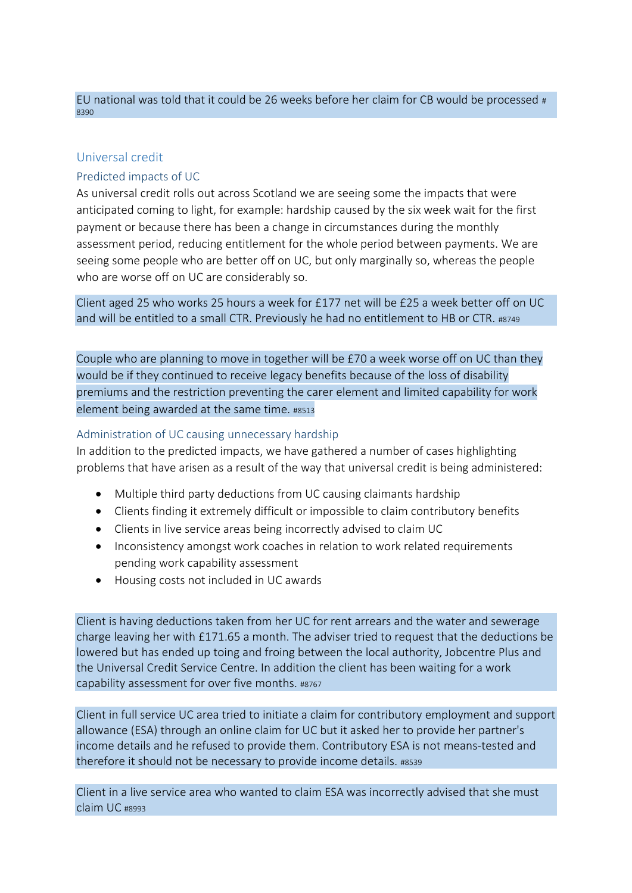#### EU national was told that it could be 26 weeks before her claim for CB would be processed # 8390

# <span id="page-8-0"></span>Universal credit

# Predicted impacts of UC

As universal credit rolls out across Scotland we are seeing some the impacts that were anticipated coming to light, for example: hardship caused by the six week wait for the first payment or because there has been a change in circumstances during the monthly assessment period, reducing entitlement for the whole period between payments. We are seeing some people who are better off on UC, but only marginally so, whereas the people who are worse off on UC are considerably so.

Client aged 25 who works 25 hours a week for £177 net will be £25 a week better off on UC and will be entitled to a small CTR. Previously he had no entitlement to HB or CTR. #8749

Couple who are planning to move in together will be £70 a week worse off on UC than they would be if they continued to receive legacy benefits because of the loss of disability premiums and the restriction preventing the carer element and limited capability for work element being awarded at the same time. #8513

#### Administration of UC causing unnecessary hardship

In addition to the predicted impacts, we have gathered a number of cases highlighting problems that have arisen as a result of the way that universal credit is being administered:

- Multiple third party deductions from UC causing claimants hardship
- Clients finding it extremely difficult or impossible to claim contributory benefits
- Clients in live service areas being incorrectly advised to claim UC
- Inconsistency amongst work coaches in relation to work related requirements pending work capability assessment
- Housing costs not included in UC awards

Client is having deductions taken from her UC for rent arrears and the water and sewerage charge leaving her with £171.65 a month. The adviser tried to request that the deductions be lowered but has ended up toing and froing between the local authority, Jobcentre Plus and the Universal Credit Service Centre. In addition the client has been waiting for a work capability assessment for over five months. #8767

Client in full service UC area tried to initiate a claim for contributory employment and support allowance (ESA) through an online claim for UC but it asked her to provide her partner's income details and he refused to provide them. Contributory ESA is not means-tested and therefore it should not be necessary to provide income details. #8539

Client in a live service area who wanted to claim ESA was incorrectly advised that she must claim UC #8993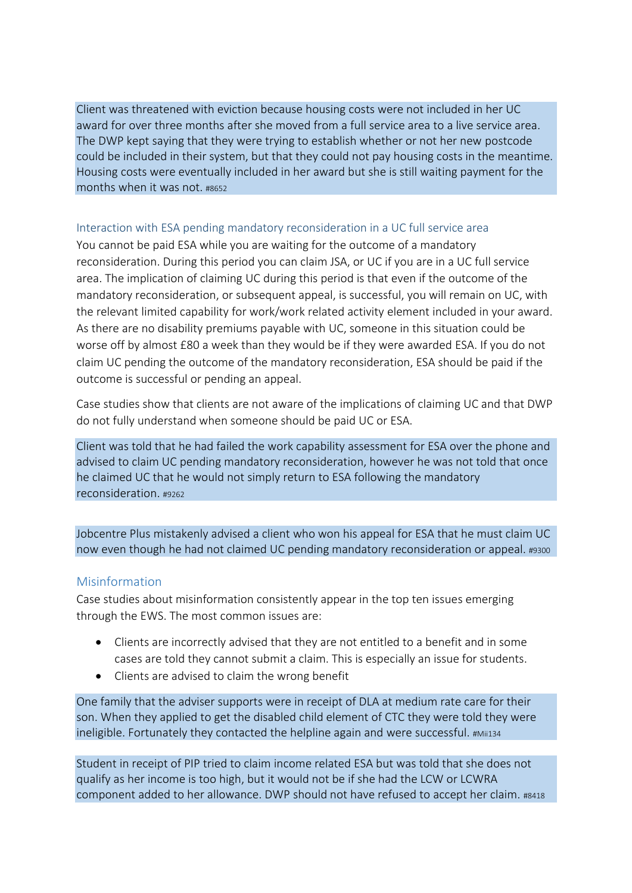Client was threatened with eviction because housing costs were not included in her UC award for over three months after she moved from a full service area to a live service area. The DWP kept saying that they were trying to establish whether or not her new postcode could be included in their system, but that they could not pay housing costs in the meantime. Housing costs were eventually included in her award but she is still waiting payment for the months when it was not. #8652

#### Interaction with ESA pending mandatory reconsideration in a UC full service area

You cannot be paid ESA while you are waiting for the outcome of a mandatory reconsideration. During this period you can claim JSA, or UC if you are in a UC full service area. The implication of claiming UC during this period is that even if the outcome of the mandatory reconsideration, or subsequent appeal, is successful, you will remain on UC, with the relevant limited capability for work/work related activity element included in your award. As there are no disability premiums payable with UC, someone in this situation could be worse off by almost £80 a week than they would be if they were awarded ESA. If you do not claim UC pending the outcome of the mandatory reconsideration, ESA should be paid if the outcome is successful or pending an appeal.

Case studies show that clients are not aware of the implications of claiming UC and that DWP do not fully understand when someone should be paid UC or ESA.

Client was told that he had failed the work capability assessment for ESA over the phone and advised to claim UC pending mandatory reconsideration, however he was not told that once he claimed UC that he would not simply return to ESA following the mandatory reconsideration. #9262

Jobcentre Plus mistakenly advised a client who won his appeal for ESA that he must claim UC now even though he had not claimed UC pending mandatory reconsideration or appeal. #9300

#### <span id="page-9-0"></span>Misinformation

Case studies about misinformation consistently appear in the top ten issues emerging through the EWS. The most common issues are:

- Clients are incorrectly advised that they are not entitled to a benefit and in some cases are told they cannot submit a claim. This is especially an issue for students.
- Clients are advised to claim the wrong benefit

One family that the adviser supports were in receipt of DLA at medium rate care for their son. When they applied to get the disabled child element of CTC they were told they were ineligible. Fortunately they contacted the helpline again and were successful. #Mii134

Student in receipt of PIP tried to claim income related ESA but was told that she does not qualify as her income is too high, but it would not be if she had the LCW or LCWRA component added to her allowance. DWP should not have refused to accept her claim. #8418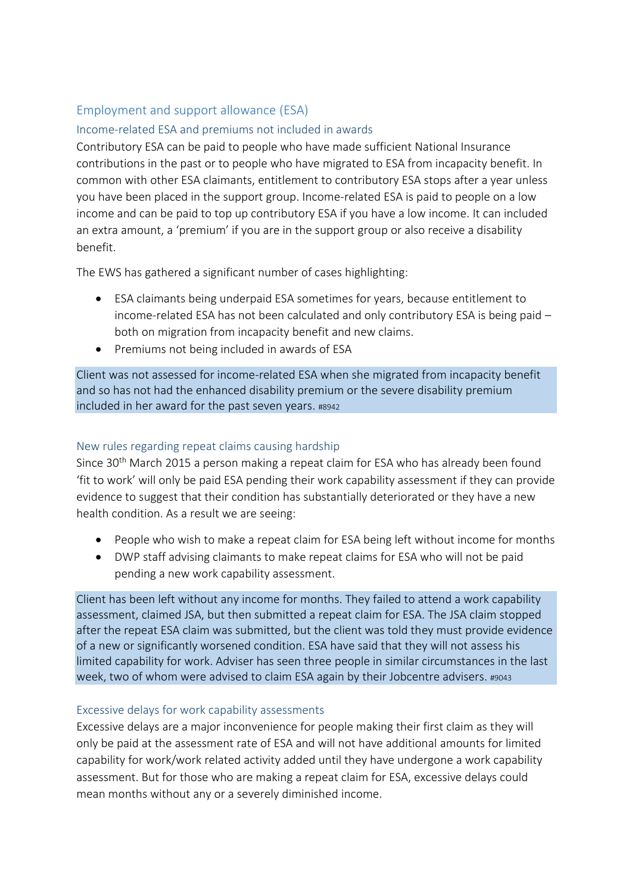# <span id="page-10-0"></span>Employment and support allowance (ESA)

# Income-related ESA and premiums not included in awards

Contributory ESA can be paid to people who have made sufficient National Insurance contributions in the past or to people who have migrated to ESA from incapacity benefit. In common with other ESA claimants, entitlement to contributory ESA stops after a year unless you have been placed in the support group. Income-related ESA is paid to people on a low income and can be paid to top up contributory ESA if you have a low income. It can included an extra amount, a 'premium' if you are in the support group or also receive a disability benefit.

The EWS has gathered a significant number of cases highlighting:

- ESA claimants being underpaid ESA sometimes for years, because entitlement to income-related ESA has not been calculated and only contributory ESA is being paid – both on migration from incapacity benefit and new claims.
- Premiums not being included in awards of ESA

Client was not assessed for income-related ESA when she migrated from incapacity benefit and so has not had the enhanced disability premium or the severe disability premium included in her award for the past seven years. #8942

# New rules regarding repeat claims causing hardship

Since 30<sup>th</sup> March 2015 a person making a repeat claim for ESA who has already been found 'fit to work' will only be paid ESA pending their work capability assessment if they can provide evidence to suggest that their condition has substantially deteriorated or they have a new health condition. As a result we are seeing:

- People who wish to make a repeat claim for ESA being left without income for months
- DWP staff advising claimants to make repeat claims for ESA who will not be paid pending a new work capability assessment.

Client has been left without any income for months. They failed to attend a work capability assessment, claimed JSA, but then submitted a repeat claim for ESA. The JSA claim stopped after the repeat ESA claim was submitted, but the client was told they must provide evidence of a new or significantly worsened condition. ESA have said that they will not assess his limited capability for work. Adviser has seen three people in similar circumstances in the last week, two of whom were advised to claim ESA again by their Jobcentre advisers. #9043

# Excessive delays for work capability assessments

Excessive delays are a major inconvenience for people making their first claim as they will only be paid at the assessment rate of ESA and will not have additional amounts for limited capability for work/work related activity added until they have undergone a work capability assessment. But for those who are making a repeat claim for ESA, excessive delays could mean months without any or a severely diminished income.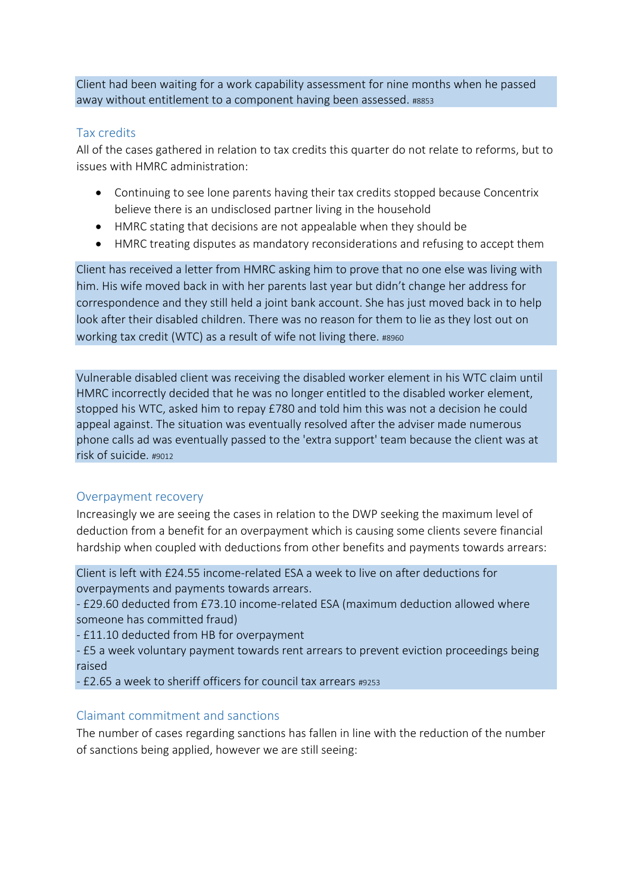Client had been waiting for a work capability assessment for nine months when he passed away without entitlement to a component having been assessed. #8853

# <span id="page-11-0"></span>Tax credits

All of the cases gathered in relation to tax credits this quarter do not relate to reforms, but to issues with HMRC administration:

- Continuing to see lone parents having their tax credits stopped because Concentrix believe there is an undisclosed partner living in the household
- HMRC stating that decisions are not appealable when they should be
- HMRC treating disputes as mandatory reconsiderations and refusing to accept them

Client has received a letter from HMRC asking him to prove that no one else was living with him. His wife moved back in with her parents last year but didn't change her address for correspondence and they still held a joint bank account. She has just moved back in to help look after their disabled children. There was no reason for them to lie as they lost out on working tax credit (WTC) as a result of wife not living there. #8960

Vulnerable disabled client was receiving the disabled worker element in his WTC claim until HMRC incorrectly decided that he was no longer entitled to the disabled worker element, stopped his WTC, asked him to repay £780 and told him this was not a decision he could appeal against. The situation was eventually resolved after the adviser made numerous phone calls ad was eventually passed to the 'extra support' team because the client was at risk of suicide. #9012

# <span id="page-11-1"></span>Overpayment recovery

Increasingly we are seeing the cases in relation to the DWP seeking the maximum level of deduction from a benefit for an overpayment which is causing some clients severe financial hardship when coupled with deductions from other benefits and payments towards arrears:

Client is left with £24.55 income-related ESA a week to live on after deductions for overpayments and payments towards arrears.

- £29.60 deducted from £73.10 income-related ESA (maximum deduction allowed where someone has committed fraud)

- £11.10 deducted from HB for overpayment

- £5 a week voluntary payment towards rent arrears to prevent eviction proceedings being raised

- £2.65 a week to sheriff officers for council tax arrears #9253

# <span id="page-11-2"></span>Claimant commitment and sanctions

The number of cases regarding sanctions has fallen in line with the reduction of the number of sanctions being applied, however we are still seeing: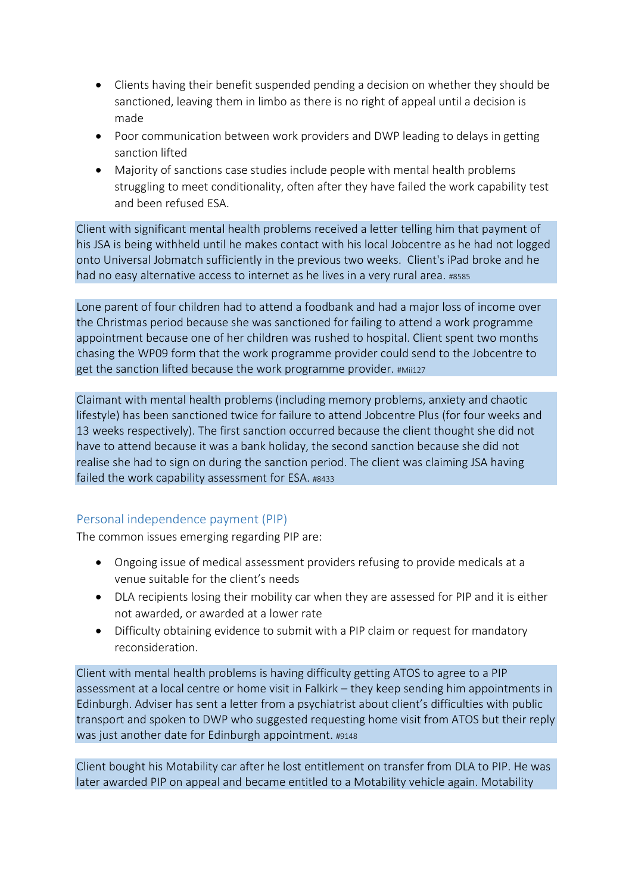- Clients having their benefit suspended pending a decision on whether they should be sanctioned, leaving them in limbo as there is no right of appeal until a decision is made
- Poor communication between work providers and DWP leading to delays in getting sanction lifted
- Majority of sanctions case studies include people with mental health problems struggling to meet conditionality, often after they have failed the work capability test and been refused ESA.

Client with significant mental health problems received a letter telling him that payment of his JSA is being withheld until he makes contact with his local Jobcentre as he had not logged onto Universal Jobmatch sufficiently in the previous two weeks. Client's iPad broke and he had no easy alternative access to internet as he lives in a very rural area. #8585

Lone parent of four children had to attend a foodbank and had a major loss of income over the Christmas period because she was sanctioned for failing to attend a work programme appointment because one of her children was rushed to hospital. Client spent two months chasing the WP09 form that the work programme provider could send to the Jobcentre to get the sanction lifted because the work programme provider. #Mii127

Claimant with mental health problems (including memory problems, anxiety and chaotic lifestyle) has been sanctioned twice for failure to attend Jobcentre Plus (for four weeks and 13 weeks respectively). The first sanction occurred because the client thought she did not have to attend because it was a bank holiday, the second sanction because she did not realise she had to sign on during the sanction period. The client was claiming JSA having failed the work capability assessment for ESA. #8433

# <span id="page-12-0"></span>Personal independence payment (PIP)

The common issues emerging regarding PIP are:

- Ongoing issue of medical assessment providers refusing to provide medicals at a venue suitable for the client's needs
- DLA recipients losing their mobility car when they are assessed for PIP and it is either not awarded, or awarded at a lower rate
- Difficulty obtaining evidence to submit with a PIP claim or request for mandatory reconsideration.

Client with mental health problems is having difficulty getting ATOS to agree to a PIP assessment at a local centre or home visit in Falkirk – they keep sending him appointments in Edinburgh. Adviser has sent a letter from a psychiatrist about client's difficulties with public transport and spoken to DWP who suggested requesting home visit from ATOS but their reply was just another date for Edinburgh appointment. #9148

Client bought his Motability car after he lost entitlement on transfer from DLA to PIP. He was later awarded PIP on appeal and became entitled to a Motability vehicle again. Motability